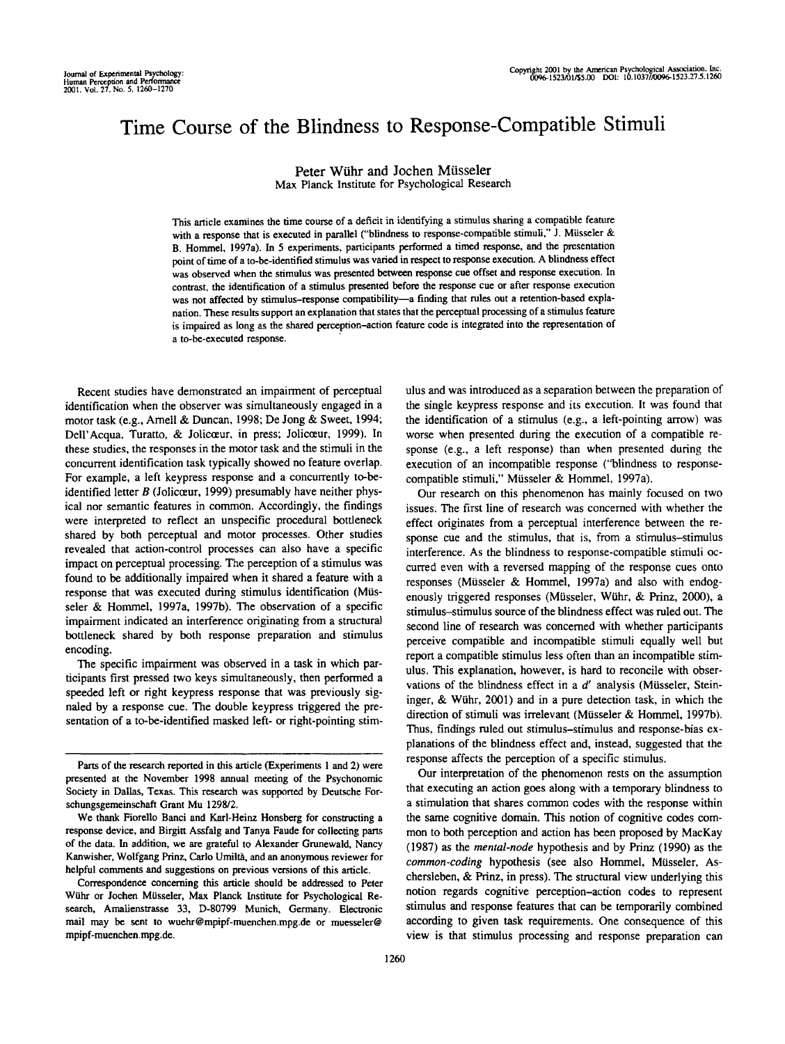# **Time Course of the Blindness to Response-Compatible Stimuli**

Peter Wühr and Jochen Müsseler Max Planck Institute for Psychological Research

This article examines the time course of a deficit in identifying a stimulus sharing a compatible feature with a response that is executed in parallel ("blindness to response-compatible stimuli," J. Müsseler & B. Hommel, 1997a). In 5 experiments, participants performed a timed response, and the presenration point of time of a to-be-identified stimulus was varied in respect to response execution. A blindness effect was observed when the stimulus was presented between response cue offset and response execution. In contrast, the identification of a stimulus presented before the response cue or after response execution was not affected by stimulus-response compatibility-a finding that rules out a retention-based explanation. These results support an explanation that srates that the perceptual processing of a stimulus feature is impaired as long as the shared perception-action feature code is integrated into the represenration of a to-be-executed response.

Recent studies have demonstrated an impairment of perceptual identification when the observer was simultaneously engaged in a motor task (e.g., Amell & Duncan, 1998; De Jong & Sweet, 1994; Dell'Acqua, Turatto, & Jolicœur, in press; Jolicœur, 1999). In these studies, the responses in the motor task and the stimuli in the concurrent identification task typically showed no feature overlap. For example, a left keypress response and a concurrently to-beidentified letter  $B$  (Jolicœur, 1999) presumably have neither physical nor semantic features in common. Accordingly, the findings were interpreted to reflect an unspecific procedural bottleneck shared by both perceptual and motor processes. Other studies revealed that action-control processes can also have a specific impact on perceptual processing. The perception of a stimulus was found to be additionally impaired when it shared a feature with a response that was executed during stimulus identification (Müsseler & Hommel, 1997a, 1997b). The observation of a specific impairment indicated an interference originating from a structural bottleneck shared by both response preparation and stimulus encoding.

The specific impairment was observed in a task in which participants first pressed two keys simultaneously, then perfonned a speeded left or right keypress response that was previously signaled by a response cue. The double keypress triggered the presentation of a to-be-identified masked left- or right-pointing stim-

Correspondence concerning this article should be addressed to Peter Wühr or Jochen Müsseler, Max Planck Institute for Psychological Research, Arnalienstrasse 33, D-80799 Munich, Germany. Electronic mail rnay be sent to wuehr@mpipf-muenchen.mpg.de or muesseler@ mpipf-muenchen.mpg.de.

ulus and was introduced as aseparation between the preparation of the single keypress response and its execution. It was found that the identification of a stimulus (e.g., a left-pointing arrow) was worse when presented during the execution of a compatible response (e.g., a left response) than when presented during the execution of an incompatible response ("blindness to responsecompatible stimuli," Müsseler & Hommel, 1997a).

Our research on this phenomenon has mainly focused on two issues. The first line of research was concemed with whether the effect originates from a perceptual interference between the response cue and the stimulus, that is, from a stimulus-stimulus interference. As the blindness to response-compatible stimuli occurred even with a reversed mapping of the response cues omo responses (Müsseler & Hommel, 1997a) and also with endogenously triggered responses (Müsseler, Wühr, & Prinz, 2000), a stimulus-stimulus source of the blindness effect was ruled out. The second line of research was concerned with whether participants perceive compatible and incompatible stimuli equally well but report a compatible stimulus less often than an incompatible stimulus. This explanation, however. is hard to reconcile with observations of the blindness effect in a *d'* analysis (Müsseler. Steininger,  $\&$  Wühr, 2001) and in a pure detection task, in which the direction of stimuli was irrelevant (Müsseler & Hommel, 1997b). Thus. findings ruled out stimulus-stimulus and response-bias explanations of the blindness effect and. instead. suggested that the response affects the perception of a specific stimulus.

Our interpretation of the phenomenon rests on the assumption that executing an action goes along with a temporary blindness to a stimulation that shares common codes with the response within the same cognitive domain. This notion of cognitive codes common to both perception and action has been proposed by MacKay (1987) as the *mental-node* hypothesis and by Prinz (1990) as the *common-coding* hypothesis (see also Hommel. Müsseler. Aschersleben. & Prinz, in press). The structural view underlying this notion regards cognitive perception-action codes to represent stimulus and response features that can be temporarily combined according to given task requirements. One consequence of this view is that stimulus processing and response preparation can

Parts of the research reported in this article (Experiments I and 2) were presented at the November 1998 annual meeting of the Psychonomic Society in Dallas, Texas. This research was supported by Deutsche Forschungsgemeinschaft Grant Mu 1298/2.

We thank Fiorello Banci and Karl-Heinz Honsberg for constructing a response device, and Birgitt Assfalg and Tanya Faude for collecting parts of the data. In addition, we are grateful to Alexander Grunewald, Nancy Kanwisher, Wolfgang Prinz, Carlo Umiltà, and an anonymous reviewer for helpful comments and suggestions on previous versions of this article.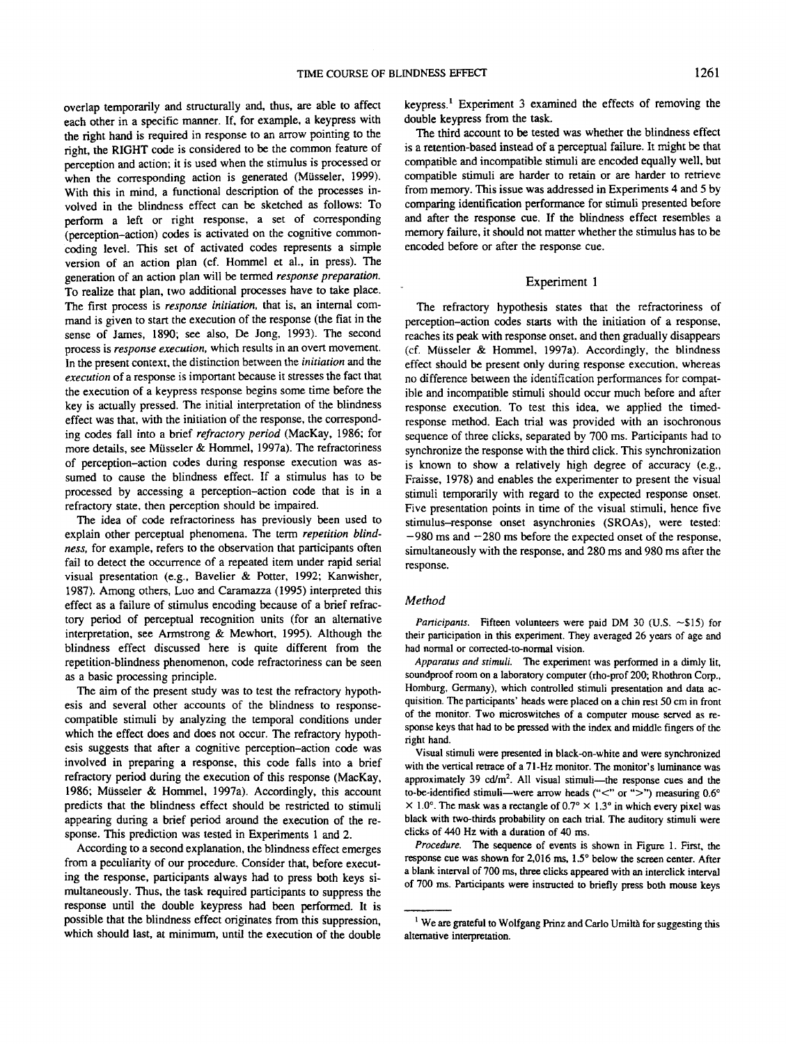overlap temporarily and structurally and, thus, are able to affect each other in a specific manner. If, for exarnple, a keypress with the right hand is required in response to an arrow poiming to the right, the RIGHT code is considered to be the common feature of perception and action; it is used when the stimulus is processed or when the corresponding action is generated (Müsseler, 1999). With this in mind, a functional description of the processes involved in the blindness effect can be sketched as folIows: To perform a left or right response, a set of corresponding (perception-action) codes is activated on the cognitive commoncoding level. This set of activated codes represents a simple version of an action plan (cf. Hommel et al., in press). The generation of an action plan will be termed *response preparation.*  To realize that plan, two additional processes have to take place. The first process is *response initiation,* that is, an internal command is given to start the execution of the response (the fiat in the sense of Jarnes, 1890; see also, De Jong, 1993). The second process is *response execution,* which results in an overt movement. In the present context, the distinction between the *initiation* and the *execution* of a response is important because it stresses the fact that the execution of a keypress response begins some time before the key is actually pressed. The initial interpretation of the blindness effect was that, with the initiation of the response, the corresponding codes fall into abrief *refractory period* (MacKay, 1986; for more details, see Müsseler & Hommel, 1997a). The refractoriness of perception-action codes during response execution was assumed to cause the blindness effect. If a stimulus has to be processed by accessing a perception-action code that is in a refractory state, then perception should be impaired.

The idea of code refractoriness has previously been used to explain other perceptual phenomena. The term *repetition blindness,* for example, refers to the observation that participants often fail to detect the occurrence of a repeated item under rapid serial visual presentation (e.g., Bavelier & Potter, 1992; Kanwisher, 1987). Among others, Luo and Cararnazza (1995) interpreted this effect as a failure of stimulus encoding because of abrief refractory period of perceptual recognition units (for an alternative interpretation, see Armstrong & Mewhort, 1995). Although the blindness effect discussed here is quite different from the repetition-blindness phenomenon, code refractoriness can be seen as a basic processing principle.

The aim of the present study was to test the refractory hypothesis and several other accounts of the blindness to responsecompatible stimuli by analyzing the temporal conditions under which the effect does and does not occur. The refractory hypothesis suggests that after a cognitive perception-action code was involved in preparing a response, this code falls into a brief refractory period during the execution of this response (MacKay, 1986; Müsseler & Hommel, 1997a). Accordingly, this account predicts that the blindness effect should be restricted to stimuli appearing during abrief period around the execution of the response. This prediction was tested in Experiments 1 and 2.

According to a second explanation, the blindness effect emerges from a peculiarity of our procedure. Consider that, before executing the response, participants always had to press both keys simultaneously. Thus, the task required participants to suppress the response until the double keypress had been performed. It is possible that the blindness effect originates from this suppression, which should last, at minimum, until the execution of the double keypress.<sup>1</sup> Experiment 3 examined the effects of removing the double keypress from the task.

The third account to be tested was whether the blindness effect is a retention-based instead of a perceptual failure. It might be that compatible and incompatible stimuli are encoded equally weH, but compatible stimuli are harder to retain or are harder to retrieve from memory. This issue was addressed in Experimems 4 and 5 by comparing identification performance for stimuli presented before and after the response cue. If the blindness effect resembles a memory failure, it should not matter whether the stimulus has to be encoded before or after the response cue.

## Experiment 1

The refractory hypothesis states that the refractoriness of perception-action codes starts with the initiation of a response, reaches its peak with response onsel. and then gradually disappears (cf. Müsseler & Hommel, 1997a). Accordingly, the blindness effect should be present only during response execution. whereas no difference between the identification performances for compatible and incompatible stimuli should occur much before and after response execution. To test this idea, we applied the timedresponse method. Each trial was provided with an isochronous sequence of three dicks, separated by 700 ms. Participants had to synchronize the response with the third dick. This synchronization is known to show a relatively high degree of accuracy (e.g., Fraisse, 1978) and enables the experimenter to present the visual stimuli temporarily with regard to the expected response onset. Five presentation points in time of the visual stimuli, hence five stimulus-response onset asynchronies (SROAs), were tested:  $-980$  ms and  $-280$  ms before the expected onset of the response, simultaneously with the response, and 280 ms and 980 ms after the response.

## *Method*

*Participants.* Fifteen volunteers were paid DM 30 *(U.S.* ~\$15) for their participation in this experiment. They averaged 26 years of age and had normal or corrected-to-normal vision.

*Apparatus and stimuli.* The experiment was perforrned in a dimly lit, soundproof room on a laboratory computer (rho-prof 200; Rhothron Corp., Homburg, Germany), which controlled stimuli presentation and data acquisition. The participants' heads were placed on a chin rest 50 cm in front of the monitor. Two microswitches of a computer mouse served as response keys that had to be pressed with the index and middle fingers of the right hand.

Visual stimuli were presented in black-on-white and were synchronized with the vertical retrace of a 71-Hz monitor. The monitor's luminance was approximately 39 cd/m<sup>2</sup>. All visual stimuli-the response cues and the to-be-identified stimuli-were arrow heads (" $\lt"$ " or " $\gt"$ ") measuring 0.6°  $\times$  1.0°. The mask was a rectangle of 0.7°  $\times$  1.3° in which every pixel was black with two-thirds probability on each trial. The auditory stimuli were clicks of 440 Hz with a duration of 40 ms.

*Procedure.* The sequence of events is shown in Figure I. First, the response cue was shown for 2,016 ms, *1.5°* below the screen center. After a blank interval of 700 ms, three clicks appeared with an interclick interval of 700 ms. Participants were instructed to briefly press both mouse keys

 $<sup>1</sup>$  We are grateful to Wolfgang Prinz and Carlo Umiltà for suggesting this</sup> alternative interpretation.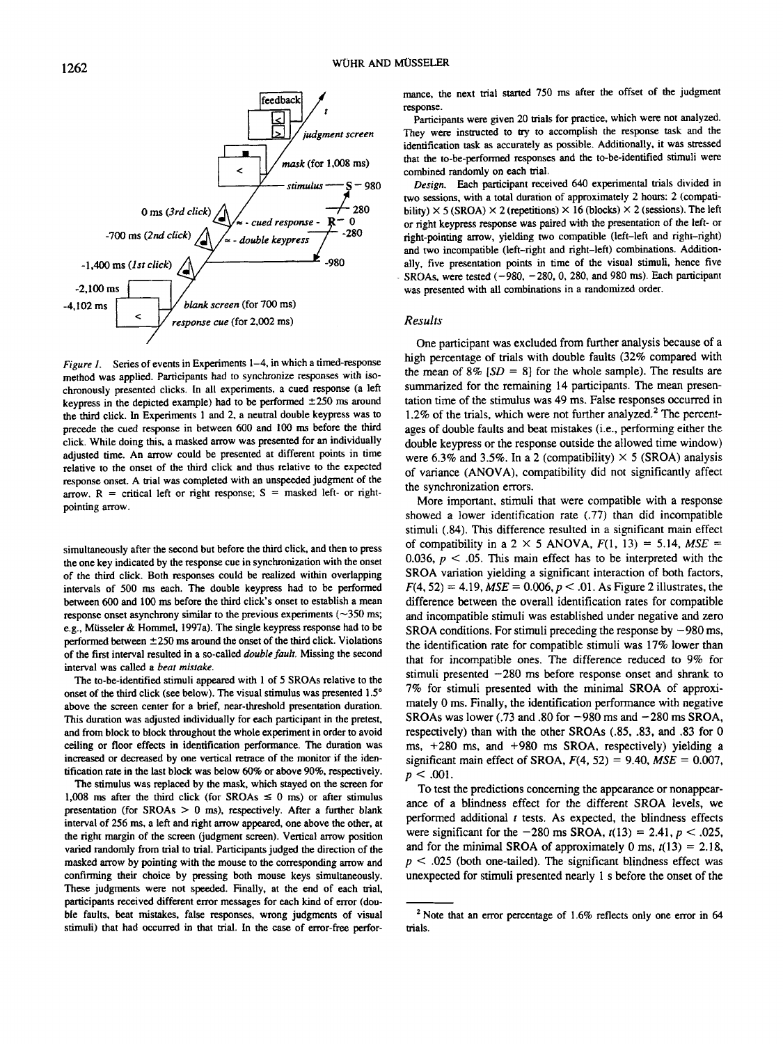

*Figure* 1. Series of events in Experiments 1-4. in which a timed-response method was applied. Participants had to synchronize responses with isochronously presented dicks. In all experiments. a cued response (a left keypress in the depicted example) had to be performed  $\pm 250$  ms around the third dick. In Experiments 1 and 2. a neutral double keypress was to precede the cued response in between 600 and 100 ms before the third click. While doing this, a masked arrow was presented for an individually adjusted time. An arrow could be presented at different points in time relative to the onset of the third dick and thus relative to the expected response onset. A trial was completed with an unspeeded judgment of the arrow.  $R =$  critical left or right response;  $S =$  masked left- or rightpointing arrow.

simultaneously after the second but before the third dick. and then to press the one key indicated by the response cue in synchronization with the onset of the third dick. Both responses could be realized within overlapping intervals of 500 ms each. The double keypress had to be performed between 600 and 100 ms before the third click's onset to establish a mean response onset asynchrony similar to the previous experiments  $(-350 \text{ ms};$ e.g., Müsseler & Hommel, 1997a). The single keypress response had to be performed between  $\pm 250$  ms around the onset of the third click. Violations of the first interval resulted in a so-called *double fault.* Missing the second interval was called a *beat mistake.* 

The to-be-identified stimuli appeared with 1 of 5 SROAs relative to the onset of the third click (see below). The visual stimulus was presented 1.5<sup>o</sup> above the screen center for abrief. near-threshold presentation duration. This duration was adjusted individually for each participant in the pretest. and from block to block throughout the whole experiment in order to avoid ceiling or floor effects in identification performance. The duration was increased or decreased by one verrical retrace of the monitor if the identification rate in the last block was below 60% or above 90%. respectively.

The stimulus was replaced by the mask. which stayed on the screen for 1,008 ms after the third click (for SROAs  $\leq$  0 ms) or after stimulus presentation (for  $SROAs > 0$  ms), respectively. After a further blank interval of 256 ms. a left and right arrow appeared. one above the other. at the right margin of the screen (judgment screen). Verrical arrow position varied randomly from trial to trial. Parricipants judged the direction of the masked arrow by pointing with the mouse to the corresponding arrow and confirming their choice by pressing both mouse keys simultaneously. These judgments were not speeded. Finally. at the end of each trial. participants received different error messages for each kind of error (double faults. beat mistakes. false responses. wrong judgments of visual stimuli) that had occurred in that trial. In the case of error-free performance. the next trial started 750 ms after the offset of the judgment response.

Participants were given 20 trials for practice. which were not analyzed. They were instructed to try to accomplish the response task and the identification task as accurately as possible. Additionally. it was stressed that the to-be-performed responses and the to-be-identified stimuli were combined randomly on each trial.

*Design.* Each participant received 640 experimental trials divided in two sessions. with a total duration of approximately 2 hours: 2 (compatibility)  $\times$  5 (SROA)  $\times$  2 (repetitions)  $\times$  16 (blocks)  $\times$  2 (sessions). The left or right keypress response was paired with the presentation of the left- or right-pointing arrow. yielding two compatible (left-Ieft and right-right) and two incompatible (left-right and right-Ieft) combinations. AdditionaIly. five presentation points in time of the visual stimuli. hence five SROAs, were tested  $(-980, -280, 0, 280,$  and  $980$  ms). Each participant was presented with all combinations in a randomized order.

## *Results*

One participant was excluded from further analysis because of a high percentage of trials with double faults (32% compared with the mean of  $8\%$  [ $SD = 8$ ] for the whole sample). The results are summarized for the remaining 14 participants. The mean presentation time of the stimulus was 49 ms. False responses occurred in 1.2% of the trials, which were not further analyzed.<sup>2</sup> The percentages of double faults and beat mistakes (i.e., performing either the double keypress or the response outside the allowed time window) were 6.3% and 3.5%. In a 2 (compatibility)  $\times$  5 (SROA) analysis of variance (ANOVA), compatibility did not significantly affect the synchronization errors.

More important. stimuli that were compatible with a response showed a lower identification rate (.77) than did incompatible stimuli (.84). This difference resulted in a significant main effect of compatibility in a 2  $\times$  5 ANOVA,  $F(1, 13) = 5.14$ ,  $MSE =$ 0.036,  $p < 0.05$ . This main effect has to be interpreted with the SROA variation yielding a significant interaction of both factors,  $F(4, 52) = 4.19$ ,  $MSE = 0.006$ ,  $p < 0.01$ . As Figure 2 illustrates, the difference between the overall identification rates for compatible and incompatible stimuli was established under negative and zero SROA conditions. For stimuli preceding the response by  $-980$  ms, the identification rate for compatible stimuli was 17% lower than that for incompatible ones. The difference reduced to 9% for stimuli presented  $-280$  ms before response onset and shrank to 7% for stimuli presented with the minimal SROA of approximately 0 ms. Finally, the identification performance with negative SROAs was lower (.73 and .80 for  $-980$  ms and  $-280$  ms SROA, respectively) than with the other SROAs (.85, .83, and .83 for 0 ms,  $+280$  ms, and  $+980$  ms SROA, respectively) yielding a significant main effect of SROA, F(4, 52) = 9.40, *MSE* = 0.007,  $p < .001$ .

To test the predictions conceming the appearance or nonappearance of a blindness effect for the different SROA levels, we performed additional  $t$  tests. As expected, the blindness effects were significant for the  $-280$  ms SROA,  $t(13) = 2.41$ ,  $p < .025$ , and for the minimal SROA of approximately 0 ms,  $t(13) = 2.18$ ,  $p < .025$  (both one-tailed). The significant blindness effect was unexpected for stimuli presented nearly I s before the onset of the

<sup>&</sup>lt;sup>2</sup> Note that an error percentage of 1.6% reflects only one error in 64 trials.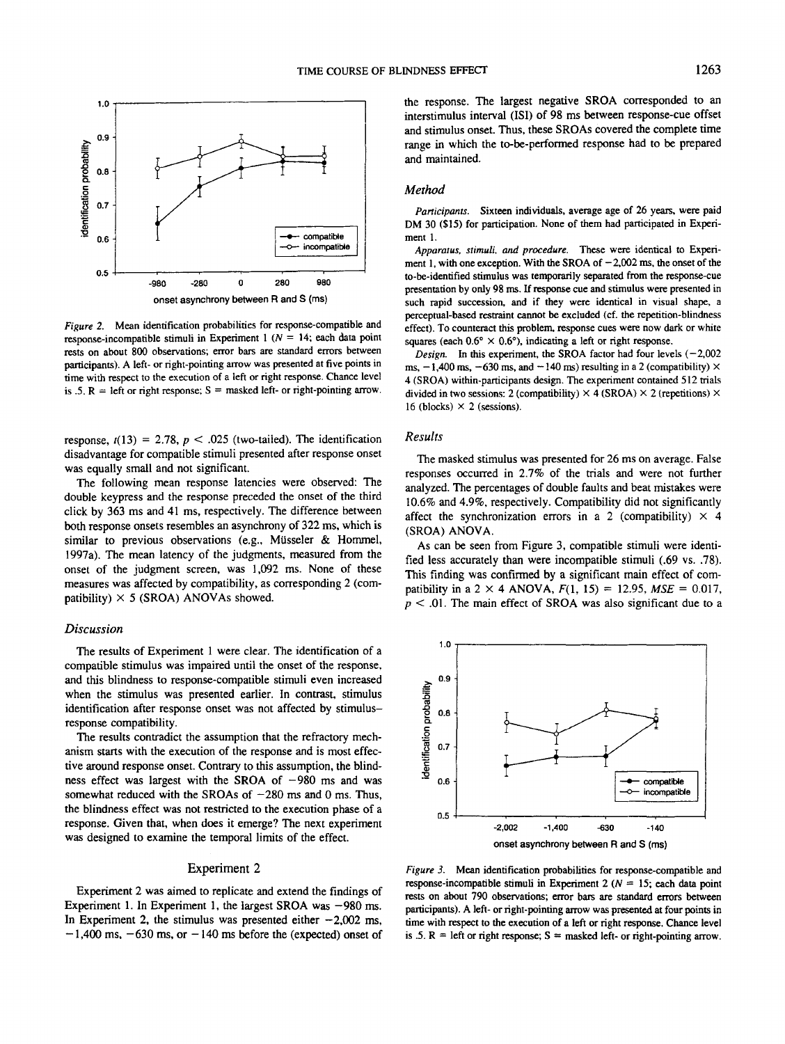

*Figure 2.* Mean identification probabilities for response-compatible and response-incompatible stimuli in Experiment 1 ( $N = 14$ ; each data point rests on about 800 observations; error bars are standard errors between participants). A left- or right-pointing arrow was presented at five points in time with respect to the execution of a left or right response. Chance level is .5.  $R =$  left or right response;  $S =$  masked left- or right-pointing arrow.

response,  $t(13) = 2.78$ ,  $p < .025$  (two-tailed). The identification dis advantage for compatible stimuli presented after response onset was equally small and not significant.

The following mean response latencies were observed: The double keypress and the response preceded the onset of the third dick by 363 ms and 41 ms, respectively. The difference between both response onsets resembles an asynchrony of 322 ms, which is similar to previous observations (e.g., Müsseler & Hommel, 1997a). The mean latency of the judgments, measured from the onset of the judgment screen, was 1,092 ms. None of these measures was affected by compatibility, as corresponding 2 (compatibility)  $\times$  5 (SROA) ANOVAs showed.

## *Discussion*

The results of Experiment 1 were dear. The identification of a compatible stimulus was impaired until the onset of the response, and this blindness to response-compatible stimuli even increased when the stimulus was presented earlier. In contrast, stimulus identification after response onset was not affected by stimulusresponse compatibility.

The results contradict the assumption that the refractory mechanism starts with the execution of the response and is most effective around response onset. Contrary to this assumption, the blindness effect was largest with the SROA of  $-980$  ms and was somewhat reduced with the SROAs of  $-280$  ms and 0 ms. Thus, the blindness effect was not restricted to the execution phase of a response. Given that, when does it emerge? The next experiment was designed to examine the temporal limits of the effect.

## Experiment 2

Experiment 2 was aimed to replicate and extend the findings of Experiment 1. In Experiment 1, the largest SROA was  $-980$  ms. In Experiment 2, the stimulus was presented either  $-2,002$  ms,  $-1,400$  ms,  $-630$  ms, or  $-140$  ms before the (expected) onset of

the response. The largest negative SROA corresponded to an interstimulus interval (ISI) of 98 ms between response-cue offset and stimulus onset. Thus, these SROAs covered the complete time range in which the to-be-performed response had to be prepared and maintained.

### *Method*

*Panicipants.* Sixteen individuals, average age of 26 years. were paid DM 30 (\$15) for participation. None of them had participated in Experiment 1.

*Apparatus. stimuli. and procedure.* These were identical to Experiment 1, with one exception. With the SROA of  $-2,002$  ms, the onset of the to-be-identified stimulus was lemporarily separated from the response-cue presentation by only 98 ms. U response cue and stimulus were presented in such rapid succession. and if they were identical in visual shape, a perceptual-based restraint cannot be excluded (cf. the repetition-blindness effect). To counteract this problem, response cues were now dark or white squares (each  $0.6^{\circ} \times 0.6^{\circ}$ ), indicating a left or right response.

*Design.* In this experiment, the SROA factor had four levels  $(-2,002)$ ms,  $-1.400$  ms,  $-630$  ms, and  $-140$  ms) resulting in a 2 (compatibility)  $\times$ 4 (SROA) within-participants design. The experiment contained 512 trials divided in two sessions: 2 (compatibility)  $\times$  4 (SROA)  $\times$  2 (repetitions)  $\times$ 16 (blocks)  $\times$  2 (sessions).

# *Results*

The masked stimulus was presented for 26 ms on average. False responses occurred in 2.7% of the trials and were not further analyzed. The percentages of double faults and beat mistakes were 10.6% and 4.9%, respectively. Compatibility did not significantly affect the synchronization errors in a 2 (compatibility)  $\times$  4 (SROA) ANOVA.

As can be seen from Figure 3, compatible stimuli were identified less accurately than were incompatible stimuli (.69 vs .. 78). This finding was confirmed by a significant main effect of compatibility in a 2  $\times$  4 ANOVA,  $F(1, 15) = 12.95$ ,  $MSE = 0.017$ ,  $p < .01$ . The main effect of SROA was also significant due to a



*Figure* 3. Mean identification probabilities for response-compatible and response-incompatible stimuli in Experiment 2 ( $N = 15$ ; each data point rests on about 790 observations; error bars are standard errors between participants). A left- or right-pointing arrow was presented at four points in time with respect to the execution of a left or right response. Chance level is .5.  $R =$  left or right response;  $S =$  masked left- or right-pointing arrow.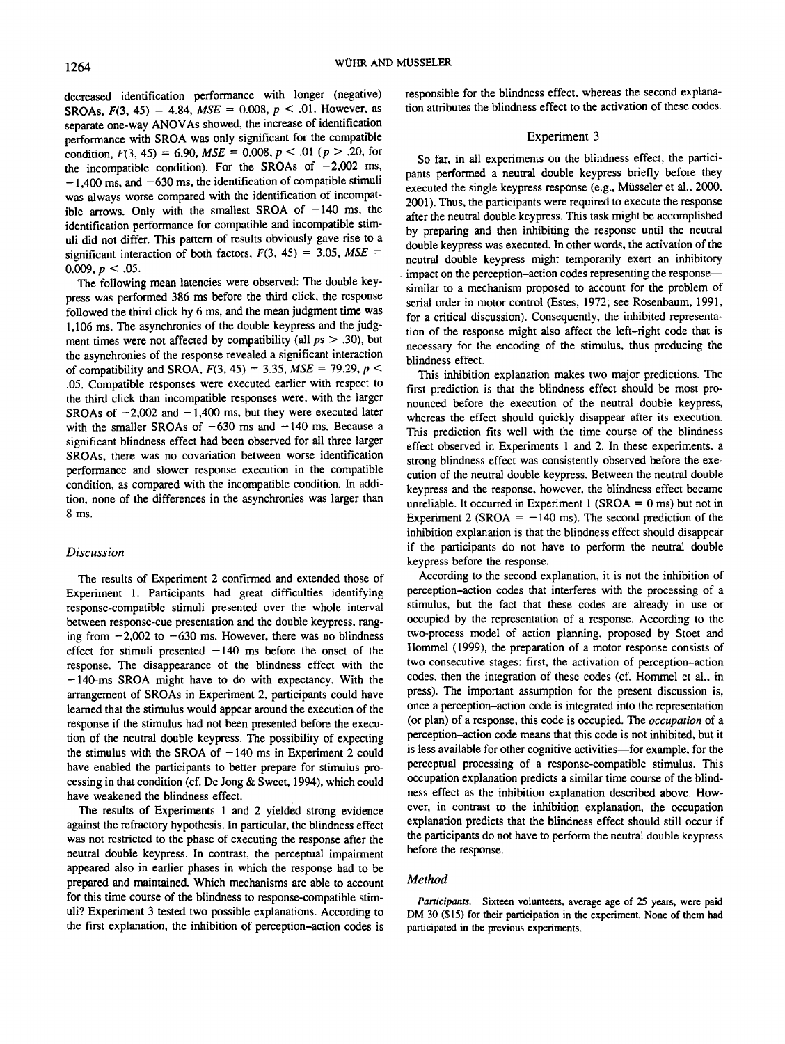decreased identification performance with longer (negative) SROAs,  $F(3, 45) = 4.84$ ,  $MSE = 0.008$ ,  $p < .01$ . However, as separate one-way ANOVAs showed, the increase of identification performance with SROA was only significant for the compatible condition,  $F(3, 45) = 6.90$ ,  $MSE = 0.008$ ,  $p < .01$  ( $p > .20$ , for the incompatible condition). For the SROAs of  $-2,002$  ms,  $-1,400$  ms, and  $-630$  ms, the identification of compatible stimuli was always worse compared with the identification of incompatible arrows. Only with the smallest SROA of  $-140$  ms, the identification performance for compatible and incompatible stimuli did not differ. This pattern of results obviously gave rise to a significant interaction of both factors,  $F(3, 45) = 3.05$ ,  $MSE =$ 0.009,  $p < .05$ .

The following mean latencies were observed: The double keypress was performed 386 ms before the third dick, the response followed the third dick by 6 ms, and the mean judgment time was 1,106 ms. The asynchronies of the double keypress and the judgment times were not affected by compatibility (all *ps* > .30), but the asynchronies of the response revealed a significant interaction of compatibility and SROA,  $F(3, 45) = 3.35$ ,  $MSE = 79.29$ ,  $p <$ .05. Compatible responses were executed earlier with respect to the third dick than incompatible responses were, with the larger SROAs of  $-2,002$  and  $-1,400$  ms, but they were executed later with the smaller SROAs of  $-630$  ms and  $-140$  ms. Because a significant blindness effect had been observed for all three larger SROAs, there was no covariation between worse identification performance and slower response execution in the compatible condition, as compared with the incompatible condition. In addition, none of the differences in the asynchronies was larger than 8 ms.

# *Discussion*

The results of Experiment 2 confirmed and extended those of Experiment 1. Participants had great difficulties identifying response-compatible stimuli presented over the whole interval between response-cue presentation and the double keypress, ranging from  $-2,002$  to  $-630$  ms. However, there was no blindness effect for stimuli presented  $-140$  ms before the onset of the response. The disappearance of the blindness effect with the -14O-ms SROA rnight have to do with expectancy. With the arrangement of SROAs in Experiment 2, participants could have leamed that the stimulus would appear around the execution of the response if the stimulus had not been presented before the execution of the neutral double keypress. The possibility of expecting the stimulus with the SROA of  $-140$  ms in Experiment 2 could have enabled the participants to better prepare for stimulus processing in that condition (cf. De Jong & Sweet, 1994), which could have weakened the blindness effect.

The results of Experiments 1 and 2 yielded strong evidence against the refractory hypothesis. In particular, the blindness effect was not restricted to the phase of executing the response after the neutral double keypress. In contrast, the perceptual impairment appeared also in earlier phases in which the response had to be prepared and maintained. Which mechanisms are able to account for this time course of the blindness to response-compatible stimuli? Experiment 3 tested two possible explanations. According to the first explanation, the inhibition of perception-action codes is responsible for the blindness effect. whereas the second explanation attributes the blindness effect to the activation of these codes.

### Experiment 3

So far, in all experiments on the blindness effect, the participants performed a neutral double keypress briefly before they executed the single keypress response (e.g., Müsseler et al., 2000, 2001). Thus, the participants were required to execute the response after the neutral double keypress. This task rnight be accomplished by preparing and then inhibiting the response until the neutral double keypress was executed. In other words, the activation of the neutral double keypress might temporarily exert an inhibitory impact on the perception-action codes representing the responsesimilar to a mechanism proposed to account for the problem of serial order in motor control (Estes, 1972; see Rosenbaum, 1991, for a critical discussion). Consequently. the inhibited representation of the response might also affect the left-right code that is necessary for the encoding of the stimulus, thus producing the blindness effect.

This inhibition explanation makes two major predictions. The first prediction is that the blindness effect should be most pronounced before the execution of the neutral double keypress, whereas the effect should quickly disappear after its execution. This prediction fits weil with the time course of the blindness effect observed in Experiments I and 2. In these experiments. a strong blindness effect was consistently observed before the execution of the neutral double keypress. Between the neutral double keypress and the response, however, the blindness effect became unreliable. It occurred in Experiment 1 (SROA  $= 0$  ms) but not in Experiment 2 (SROA =  $-140$  ms). The second prediction of the inhibition explanation is that the blindness effect should disappear if the participants do not have to perform the neutral double keypress before the response.

According to the second explanation, it is not the inhibition of perception-action codes that interferes with the processing of a stimulus, but the fact that these codes are already in use or occupied by the representation of a response. According to the two-process model of action planning, proposed by Stoet and Hommel (1999), the preparation of a motor response consists of two consecutive stages: first, the activation of perception-action codes, then the integration of these codes (cf. Hommel et al., in press). The important assumption for the present discussion is, once a perception-action code is integrated into the representation (or plan) of a response, this code is occupied. The *occuparion* of a perception-action code means that this code is not inhibited, but it is less available for other cognitive activities-for example, for the perceptual processing of a response-compatible stimulus. This occupation explanation predicts a similar time course of the blindness effect as the inhibition explanation described above. However, in contrast to the inhibition explanation, the occupation explanation predicts that the blindness effect should still occur if the participants do not have to perform the neutral double keypress before the response.

## *Method*

*Participants.* Sixteen volunteers, average age of 25 years, were paid DM 30 (\$15) for their participation in the experiment. None of them had participated in the previous experiments.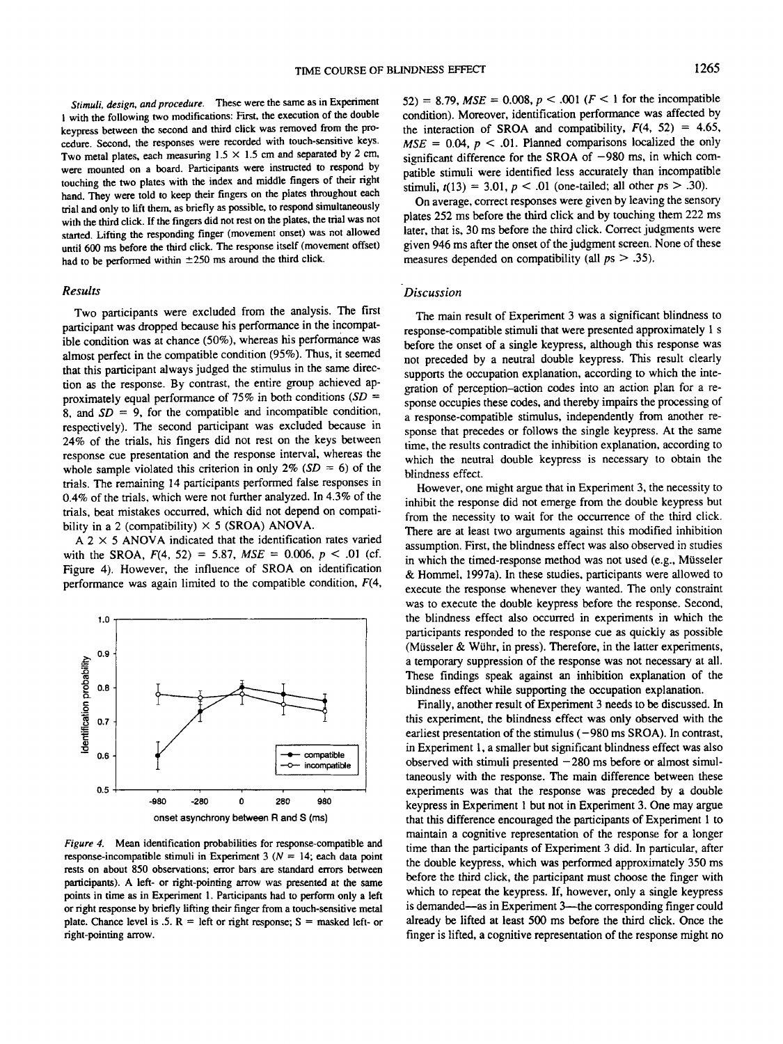*Stimuli. design. and procedure.* These were the same as in Experiment I with the following two modifications: First. the execution of the double keypress between the second and third click was removed from the procedure. Second. the responses were recorded wirh touch-sensitive keys. Two metal plates, each measuring  $1.5 \times 1.5$  cm and separated by 2 cm, were mounted on a board. Participants were instructed to respond by touching the two plates with the index and middle fingers of their right hand. They were told to keep their fingers on the plates throughout each trial and only to lift them, as briefly as possible, to respond simultaneously with the third click. If the fingers did not rest on the plates, the trial was not started. Lifting the responding finger (movement onsel) was not allowed until 600 ms before the third click. The response itself (movement offset) had to be performed within  $\pm 250$  ms around the third click.

# *Results*

Two participants were excluded from the analysis. The first participant was dropped because his performance in the incompatible condition was at chance (50%). whereas his performance was almost perfect in the compatible condition (95%). Thus. it seemed that this participant always judged the stimulus in the same direction as the response. By contrast. the entire group achieved approximately equal performance of 75% in both conditions ( $SD =$ 8. and  $SD = 9$ , for the compatible and incompatible condition. respectively). The second participant was excluded because in 24% of the trials, his fingers did not rest on the keys between response cue presentation and the response intervaI, whereas the whole sample violated this criterion in only  $2\%$  *(SD = 6)* of the trials. The remaining 14 participants performed false responses in 0.4% of the trials, which were not further analyzed. In 4.3% of the trials, beat mistakes occurred, which did not depend on compatibility in a 2 (compatibility)  $\times$  5 (SROA) ANOVA.

A 2  $\times$  5 ANOVA indicated that the identification rates varied with the SROA,  $F(4, 52) = 5.87$ ,  $MSE = 0.006$ ,  $p < .01$  (cf. Figure 4). However, the influence of SROA on identification performance was again limited to the compatible condition,  $F(4, 4)$ 



*Figure* 4. Mean identification probabilities for response-compatible and response-incompatible stimuli in Experiment 3 ( $N = 14$ ; each data point rests on about 850 observations; error bars are standard errors between participants). A left- or right-pointing arrow was presented at the same points in time as in Experiment I. Participants had to perform only a left or right response by briefly lifting their finger from a touch-sensitive metal plate. Chance level is .5.  $R =$  left or right response;  $S =$  masked left- or right -pointing arrow.

 $52$ ) = 8.79, MSE = 0.008,  $p < .001$  ( $F < 1$  for the incompatible condition). Moreover, identification performance was affected by the interaction of SROA and compatibility,  $F(4, 52) = 4.65$ ,  $MSE = 0.04$ ,  $p < .01$ . Planned comparisons localized the only significant difference for the SROA of  $-980$  ms, in which compatible stimuli were identified less accurately than incompatible stimuli,  $t(13) = 3.01$ ,  $p < .01$  (one-tailed; all other  $ps > .30$ ).

On average, correct responses were given by leaving the sensory plates 252 ms before the third dick and by touching them 222 ms later, that is, 30 ms before the third click. Correct judgments were given 946 ms after the onset of the judgment screen. None of these measures depended on compatibility (all  $ps > .35$ ).

# *Discussion*

The main result of Experiment 3 was a significant blindness to response-compatible stimuli that were presented approximately 1 s before the onset of a single keypress, although this response was not preceded by a neutral double keypress. This result dearly supports the occupation explanation, according to which the integration of perception-action codes into an action plan for a response occupies these codes, and thereby impairs the processing of a response-compatible stimulus, independently from another response that precedes or follows the single keypress. At the same time, the results contradict the inhibition explanation, according to which the neutral double keypress is necessary to obtain the blindness effect.

However, one might argue that in Experiment 3, the necessity to inhibit the response did not emerge from the double keypress but from the necessity to wait for the occurrence of the third dick. There are at least two arguments against this modified inhibition assumption. First, the blindness effect was also observed in studies in which the timed-response method was not used (e.g., Müsseler & Hommel, 1997a). In these studies, participants were allowed to execute the response whenever they wanted. The only constraint was to execute the double keypress before the response. Second, the blindness effect also occurred in experiments in which the participants responded to the response cue as quickly as possible (Müsseler & Wühr, in press). Therefore, in the latter experiments, a temporary suppression of the response was not necessary at all. These findings speak against an inhibition explanation of the blindness effect while supporting the occupation explanation.

Finally, another result of Experiment 3 needs to be discussed. In this experiment, the bIindness effect was only observed with the earliest presentation of the stimulus  $(-980 \text{ ms}$  SROA). In contrast, in Experiment 1, a smaller but significant blindness effect was also observed with stimuli presented  $-280$  ms before or almost simultaneously with the response. The main difference between these experiments was that the response was preceded by a double keypress in Experiment 1 but not in Experiment 3. One may argue that this difference encouraged the participants of Experiment I to maintain a cognitive representation of the response for a longer time than the participants of Experiment 3 did. In particular, after the double keypress, which was performed approximately 350 ms before the third dick, the participant must choose the fmger with which to repeat the keypress. If, however, only a single keypress is demanded-as in Experiment 3-the corresponding finger could already be Iifted at least 500 ms before the third dick. Once the finger is lifted, a cognitive representation of the response might no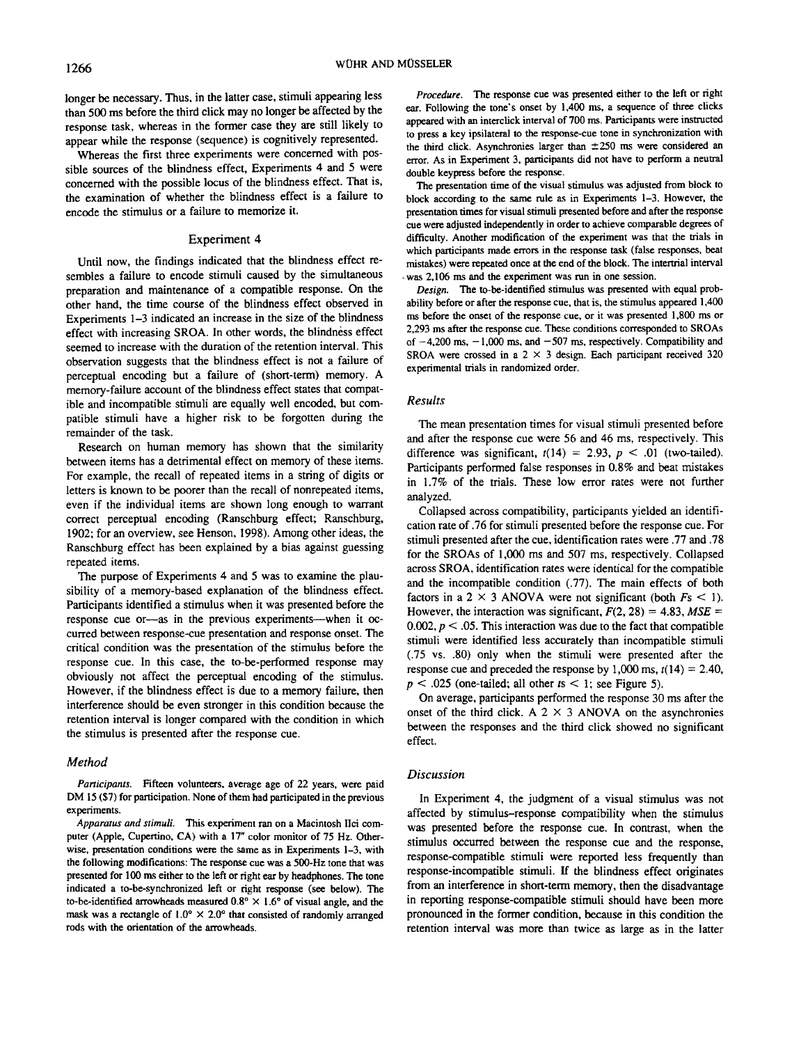longer be necessary. Thus, in the latter case, stimuli appearing less than 500 ms before the third dick may no longer be affeeted by the response task. whereas in the former ease they are still likely to appear while the response (sequence) is cognitively represented.

Whereas the first three experiments were concerned with possible sources of the blindness effeet. Experiments 4 and 5 were concerned with the possible locus of the blindness effect. That is, the examination of whether the blindness effect is a failure to encode the stimulus or a failure to memorize il.

## Experiment 4

Until now, the findings indieated that the blindness effeet resembles a failure to encode stimuli caused by the simultaneous preparation and maintenanee of a eompatible response. On the other hand, the time course of the blindness effeet observed in Experiments 1-3 indicated an increase in the size of the blindness effeet with inereasing SROA. In other words, the blindness effect seemed to inerease with the duration of the retention interval. This observation suggests that the blindness effect is not a failure of pereeptual encoding but a failure of (short-term) memory. A memory-failure account of the blindness effect states that compatible and ineompatible stimuli are equally weil eneoded. but eompatible stimuli have a higher risk to be forgotten during the remainder of the task.

Research on human memory has shown that the similarity between items has adetrimental effect on memory of these items. For example, the reeall of repeated items in astring of digits or letters is known to be poorer than the reeall of nonrepeated items, even if the individual items are shown long enough to warrant eorreet pereeptual encoding (Ransehburg effeet; Ransehburg, 1902; for an overview. see Henson. 1998). Among other ideas. the Ransehburg effeet has been explained by a bias against guessing repeated items.

The purpose of Experiments 4 and 5 was to examine the plausibility of a memory-based explanation of the blindness effeel. Participants identified a stimulus when it was presented before the response cue or-as in the previous experiments-when it oceurred between response-eue presentation and response onsel. The eritieal eondition was the presentation of the stimulus before the response eue. In this ease, the to-be-performed response may obviously not affeet the pereeptual encoding of the stimulus. However. if the blindness effeet is due to a memory failure. then interferenee should be even stronger in this eondition because the retention interval is longer eompared with the eondition in whieh the stimulus is presented after the response eue.

## *Method*

*Participants.* Fifteen volunteers. average age of 22 years, were paid DM 15 (\$7) for participation. None of them had participated in the previous experiments.

*Apparatus and stimuli.* This experiment ran on a Maeintosh Uei computer (Apple. Cupertino. CA) with a 17" color monitor of 75 Hz. Otherwise, presentation conditions were the same as in Experiments 1-3, with the following modifieations: The response cue was a 500-Hz tone that was presented for 100 ms either to the left or right ear by headphones. The tone indicated a to-be-synchronized left or right response (see below). The to-be-identified arrowheads measured  $0.8^{\circ} \times 1.6^{\circ}$  of visual angle, and the mask was a rectangle of  $1.0^{\circ} \times 2.0^{\circ}$  that consisted of randomly arranged rods with the orientation of the arrowheads.

*Procedure.* Tbe response eue was presented either to the left or right ear. Following the tone's onset by 1,400 ms, a sequence of three clicks appeared with an interclick interval of 700 ms. Participants were instructed to press a key ipsilateral to the response-eue tone in synehronization with the third click. Asynchronies larger than  $\pm 250$  ms were considered an error. As in Experiment 3. participants did not have to perform a neutral double keypress before the response.

The presentation time of the visual stimulus was adjusted from block to block according to the same rule as in Experiments 1-3. However, the presentation times for visual stimuli presented before and after the response cue were adjusted independently in order to achieve comparable degrees of difficulty. Another modification of the experiment was that the trials in which participants made errors in the response task (false responses, beat mistakes) were repeated once at the end of the block. The intertrial interval was 2,106 ms and the experiment was run in one session.

*Design.* Tbe to-be-identified stimulus was presented with equal probability before or after the response cue, that is, the stimulus appeared  $1,400$ rns before the onset of the response eue, or it was presented 1.800 rns or 2.293 rns after the response eue. These eonditions eorresponded to SROAs of  $-4,200$  ms,  $-1,000$  ms, and  $-507$  ms, respectively. Compatibility and SROA were crossed in a  $2 \times 3$  design. Each participant received 320 experimental trials in randomized order.

# *Results*

The mean presentation times for visual stimuli presented before and after the response cue were 56 and 46 ms, respectively. This difference was significant,  $t(14) = 2.93$ ,  $p < .01$  (two-tailed). Participants performed false responses in 0.8% and beat mistakes in 1.7% of the trials. These low error rates were not further analyzed.

Collapsed aeross eompatibility, partieipants yielded an identifieation rate of .76 for stimuli presented before the response eue. For stimuli presented after the eue. identifieation rates were .77 and .78 for the SROAs of 1,000 ms and 507 ms. respeetively. Collapsed across SROA, identification rates were identical for the compatible and the ineompatible eondition (.77). The main effeets of both factors in a 2  $\times$  3 ANOVA were not significant (both  $Fs < 1$ ). However, the interaction was significant,  $F(2, 28) = 4.83$ ,  $MSE =$ 0.002,  $p < 0.05$ . This interaction was due to the fact that compatible stimuli were identified less accurately than incompatible stimuli (.75 vs .. 80) only when the stimuli were presented after the response cue and preceded the response by 1,000 ms,  $t(14) = 2.40$ ,  $p < .025$  (one-tailed; all other  $ts < 1$ ; see Figure 5).

On average, participants performed the response 30 ms after the onset of the third click. A 2  $\times$  3 ANOVA on the asynchronies between the responses and the third diek showed no signifieant effeel.

## *Discussion*

In Experiment 4, the judgment of a visual stimulus was not affected by stimulus-response eompatibility when the stimulus was presented before the response eue. In eontrast, when the stimulus occurred between the response eue and the response. response-eompatible stimuli were reported less frequently than response-ineompatible stimuli. If the blindness effeet originates from an interference in short-term memory, then the disadvantage in reporting response-compatible stimuli should have been more pronouneed in the former eondition, because in this eondition the retention interval was more than twice as large as in the latter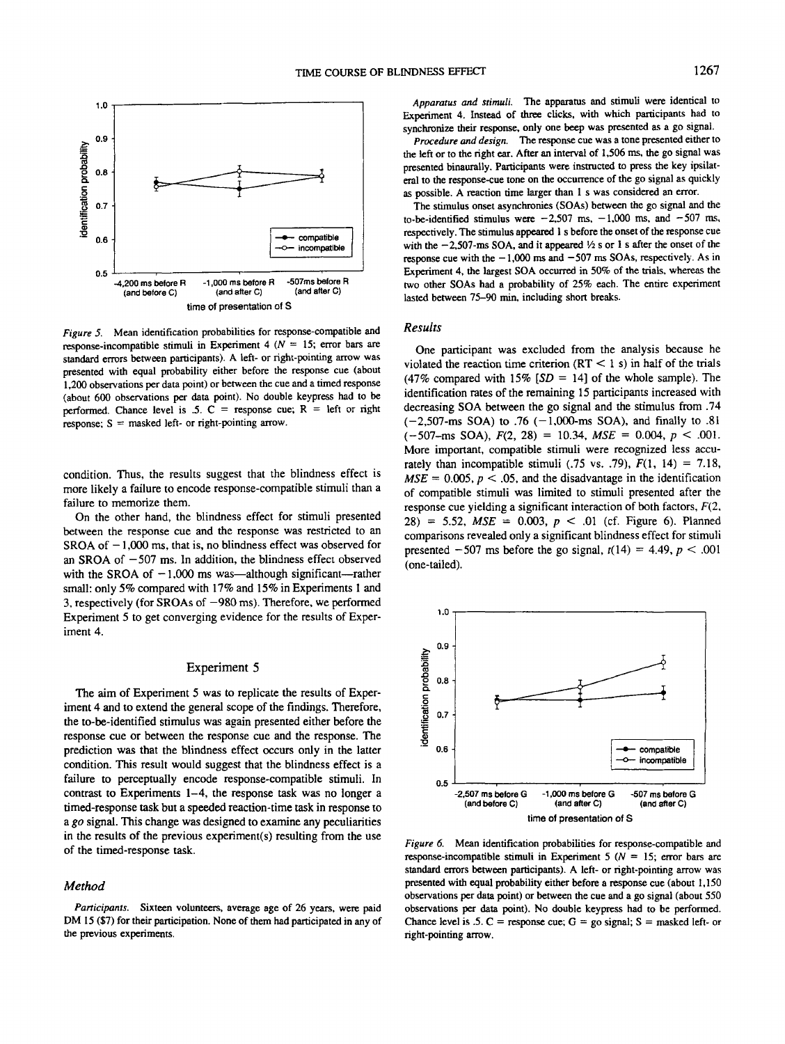

*Figure* 5. Mean identifieation probabilities for response-eompatible and response-incompatible stimuli in Experiment 4 ( $N = 15$ ; error bars are standard errors between participants). A left- or right-pointing arrow was presented with equal probability either before the response eue (about 1,200 observations per data point) or between the eue and a timed response (about 600 observations per data point). No double keypress bad to be performed. Chance level is .5.  $C =$  response cue;  $R =$  left or right response;  $S =$  masked left- or right-pointing arrow.

eondition. Thus, the results suggest that the blindness effeet is more likely a failure to encode response-compatible stimuli than a failure to memorize them.

On the other hand, the blindness effect for stimuli presented between the response cue and the response was restricted to an SROA of  $-1,000$  ms, that is, no blindness effect was observed for an SROA of  $-507$  ms. In addition, the blindness effect observed with the SROA of  $-1,000$  ms was—although significant—rather small: only 5% compared with 17% and 15% in Experiments 1 and 3, respectively (for SROAs of  $-980$  ms). Therefore, we performed Experiment 5 to get eonverging evidenee for the results of Experiment 4.

## Experiment 5

The aim of Experiment 5 was to replicate the results of Experiment 4 and to extend the general seope of the findings. Therefore, the to-be-identified stimulus was again presented either before the response eue or between the response eue and the response. The prediction was that the blindness effect occurs only in the latter eondition. This result would suggest that the blindness effeet is a failure to perceptually encode response-compatible stimuli. In contrast to Experiments 1-4, the response task was no longer a timed-response task but a speeded reaetion-time task in response to a go signal. This change was designed to examine any peeuliarities in the results of the previous experiment(s) resulting from the use of the timed-response task.

#### *Method*

*Panicipants.* Sixteen volunteers, average age of 26 years. were paid DM 15 (\$7) for their participation. None of them had participated in any of the previous experiments.

*Apparatus and stimuli.* The apparatus and stimuli were identieal to Experiment 4. lnstead of three elieks, with whieh participants had to synehronize their response, only one beep was presented as a go signal.

*Procedure* and *design.* The response eue was a tone presented either to the left or to the right ear. After an interval of 1,506 rns. the go signal was presented binaurally. Participants were instructed to press the key ipsilateral to the response-cue tone on the occurrence of the go signal as quickly as possible. A reaction time larger than 1 s was considered an error.

The stimulus onset asynehronies (SOAs) between the go signal and the to-be-identified stimulus were  $-2,507$  ms,  $-1,000$  ms, and  $-507$  ms, respectively. The stimulus appeared I s before the onset of the response eue with the  $-2.507$ -ms SOA, and it appeared  $\frac{1}{2}$  s or 1 s after the onset of the response cue with the  $-1,000$  ms and  $-507$  ms SOAs, respectively. As in Experiment 4, the largest SOA oeeurred in 50% of the trials. whereas the two other SOAs had a probability of 25% eaeh. The entire experiment lasted between 75-90 min, including short breaks.

## *Results*

One participant was excJuded from the analysis beeause he violated the reaction time criterion ( $RT < 1$  s) in half of the trials (47% compared with 15%  $[SD = 14]$  of the whole sample). The identification rates of the remaining 15 participants increased with decreasing SOA between the go signal and the stimulus from .74  $(-2,507\text{-ms SOA})$  to  $.76$   $(-1,000\text{-ms SOA})$ , and finally to  $.81$  $(-507 - \text{ms SOA}), F(2, 28) = 10.34, MSE = 0.004, p < .001.$ More important, compatible stimuli were recognized less accurately than incompatible stimuli (.75 vs. .79),  $F(1, 14) = 7.18$ ,  $MSE = 0.005$ ,  $p < .05$ , and the disadvantage in the identification of eompatible stimuli was limited to stimuli presented after the response eue yielding a signifieant interaction of both faetors, *F(2,*  28) = 5.52,  $MSE = 0.003$ ,  $p < .01$  (cf. Figure 6). Planned eomparisons revealed only a signifieant blindness effect for stimuli presented  $-507$  ms before the go signal,  $t(14) = 4.49$ ,  $p < .001$ ( one-tailed).



*Figure 6.* Mean identification probabilities for response-compatible and response-incompatible stimuli in Experiment 5 ( $N = 15$ ; error bars are standard errors between participants). A left- or right-pointing arrow was presented with equal probability either before a response eue (about 1, 150 observations per data point) or between the eue and a go signal (about 550 observations per data point). No double keypress had to be performed. Chance level is .5. C = response cue;  $G = go$  signal; S = masked left- or right-pointing arrow.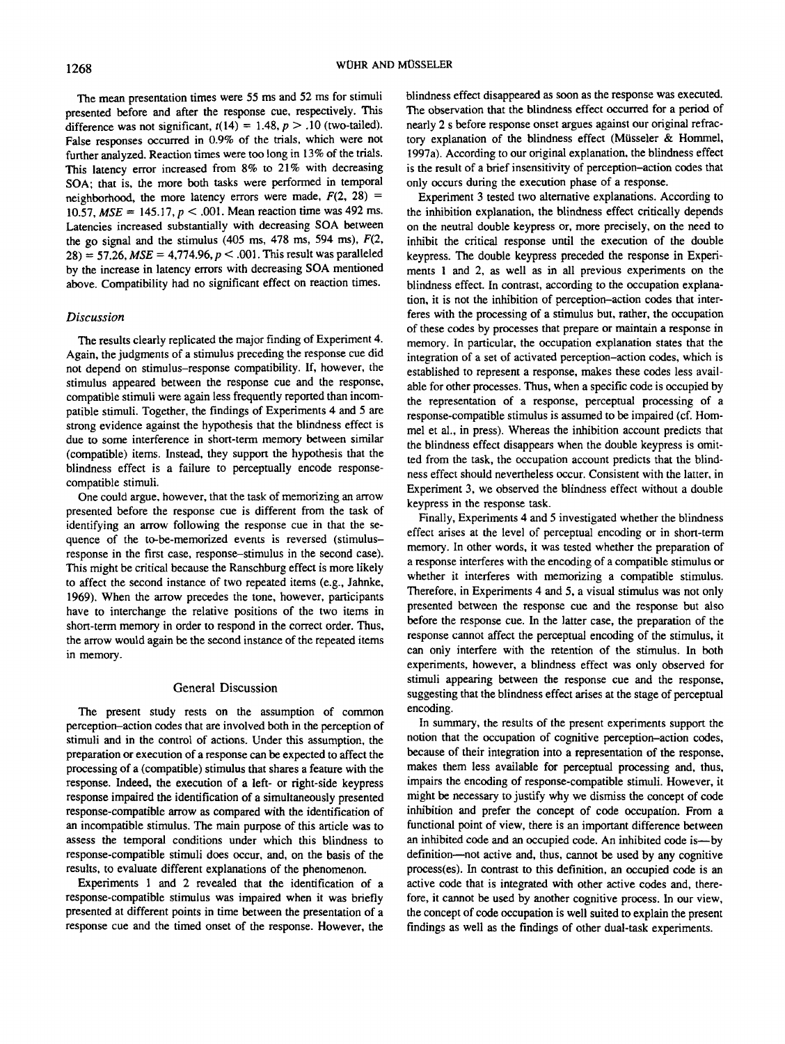The mean presentation times were 55 ms and 52 ms for stimuli presented before and after the response cue, respectively. This difference was not significant,  $t(14) = 1.48$ ,  $p > .10$  (two-tailed). False responses occurred in 0.9% of the trials, which were not further analyzed. Reaction times were too long in 13% of the trials. This latency error increased from 8% to 21% with decreasing SOA; that is, the more both tasks were performed in temporal neighborhood, the more latency errors were made,  $F(2, 28)$  = *10.57, MSE* = 145.17, *P* < .001. Mean reaction time was 492 rns. Latencies increased substantially with decreasing *SOA* between the go signal and the stimulus (405 ms, 478 ms, 594 ms),  $F(2, 1)$  $28$ ) = 57.26,  $MSE = 4,774.96, p < .001$ . This result was paralleled by the increase in latency errors with decreasing *SOA* mentioned above. Compatibility had no significant effect on reaction times.

#### *Discussion*

The results clearly replicated the major finding of Experiment 4. Again, the judgments of a stimulus preceding the response cue did not depend on stimulus-response compatibility. If, however, the stimulus appeared between the response cue and the response, compatible stimuli were again less frequently reported than incompatible stimuli. Together, the findings of Experiments 4 and 5 are strong evidence against the hypothesis that the blindness effect is due to some interference in short-term memory between sirnilar (compatible) items. Instead, they support the hypothesis that the blindness effect is a failure to perceptually encode responsecompatible stimuli.

One could argue, however, that the task of memorizing an arrow presented before the response cue is different from the task of identifying an arrow following the response cue in that the sequence of the to-be-memorized events is reversed (stimulusresponse in the first case, response-stimulus in the second case). This might be critical because the Ranschburg effect is more likely to affect the second instance of two repeated items (e.g., Jahnke, 1969). When the arrow precedes the tone, however, participants have to interchange the relative positions of the two items in short-term memory in order to respond in the correct order. Thus, the arrow would again be the second instance of the repeated items in memory.

## General Discussion

The present study rests on the assumption of common perception-action codes that are involved both in the perception of stimuli and in the control of actions. Under this assumption, the preparation or execution of a response can be expected to affect the processing of a (compatible) stimulus that shares a feature with the response. Indeed, the execution of a left- or right-side keypress response impaired the identification of a simultaneously presented response-compatible arrow as compared with the identification of an incompatible stimulus. The main purpose of this article was to assess the temporal conditions under which this blindness to response-compatible stimuli does occur, and, on the basis of the results, to evaluate different explanations of the phenomenon.

Experiments 1 and 2 revealed that the identification of a response-compatible stimulus was impaired when it was briefly presented at different points in time between the presentation of a response cue and the timed onset of the response. However, the blindness effect disappeared as soon as the response was executed. The observation that the blindness effect occurred for a period of nearly 2 s before response onset argues against our original refractory explanation of the blindness effect (Müsseler & Hommel, 1997a). According to our original explanation, the blindness effect is the result of abrief insensitivity of perception-action codes that only occurs during the execution phase of a response.

Experiment 3 tested two alternative explanations. According to the inhibition explanation, the blindness effect critically depends on the neutral double keypress or, more precisely, on the need to inhibit the critical response until the execution of the double keypress. The double keypress preceded the response in Experiments 1 and 2, as weil as in all previous experiments on the blindness effect. In contrast, according to the occupation explanation, it is not the inhibition of perception-action codes that interferes with the processing of a stimulus but, rather, the occupation of these codes by processes that prepare or maintain a response in memory. In panicular, the occupation explanation states that the integration of a set of activated perception-action codes, which is established to represent a response, makes these codes less available for other processes. Thus, when a specific code is occupied by the representation of a response, perceptual processing of a response-compatible stimulus is assumed to be impaired (cf. Hommel et al., in press). Whereas the inhibition account predicts that the blindness effect disappears when the double keypress is ornitted from the task, the occupation account predicts that the blindness effect should nevertheless occur. Consistent with the latter, in Experiment 3, we observed the blindness effect without a double keypress in the response task.

Finally, Experiments 4 and 5 investigated whether the blindness effect arises at the level of perceptual encoding or in short-term memory. In other words, it was tested whether the preparation of a response interferes with the encoding of a compatible stimulus or whether it interferes with memorizing a compatible stimulus. Therefore, in Experiments 4 and 5, a visual stimulus was not only presented between the response cue and the response but also before the response cue. In the latter case, the preparation of the response cannot affect the perceptual encoding of the stimulus, it can only interfere with the retention of the stimulus. In both experiments, however, a blindness effect was only observed for stimuli appearing between the response cue and the response, suggesting that the blindness effect arises at the stage of perceptual encoding.

In summary, the results of the present experiments support the notion that the occupation of cognitive perception-action codes, because of their integration into a representation of the response, makes them less available for perceptual processing and, thus, impairs the encoding of response-compatible stimuli. However, it might be necessary to justify why we dismiss the concept of code inhibition and prefer the concept of code occupation. From a functional point of view, there is an important difference between an inhibited code and an occupied code. An inhibited code is-by definition-not active and, thus, cannot be used by any cognitive process(es). In contrast to this definition, an occupied code is an active code that is integrated with other active codes and, therefore, it cannot be used by another cognitive process. In our view, the concept of code occupation is weIl suited to explain the present findings as weIl as the findings of other dual-task experiments.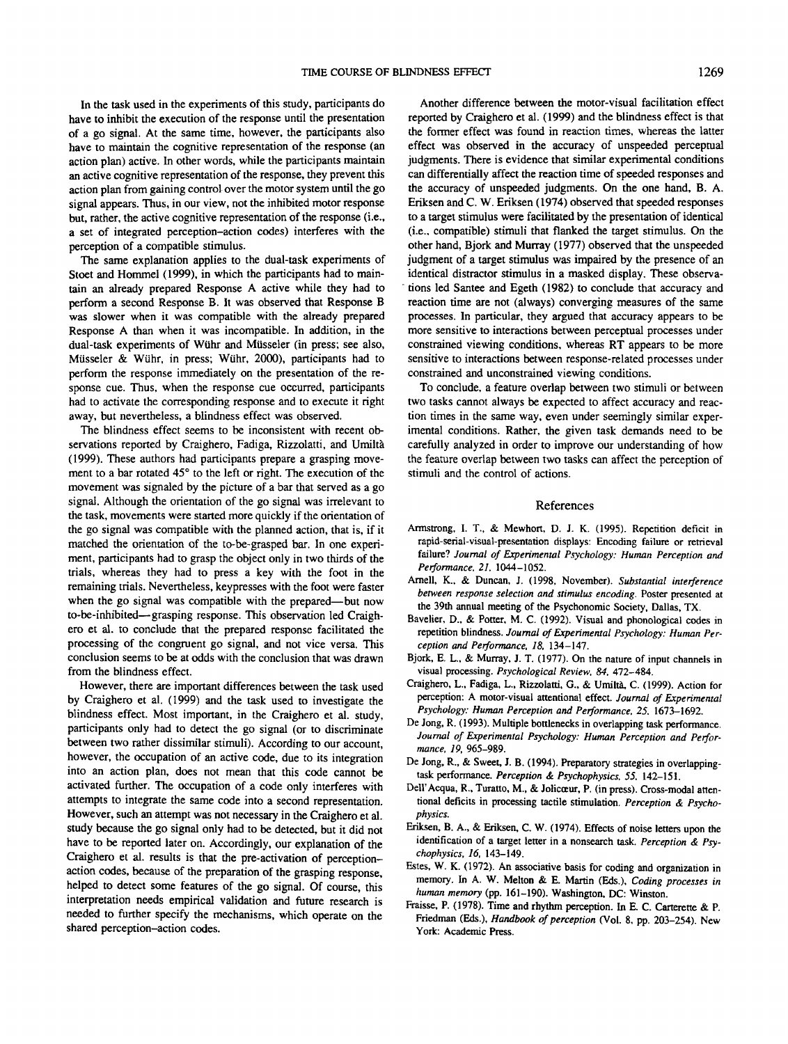In the task used in the experiments of this study, participants do have to inhibit the execution of the response until the presentation of a go signal. At the same time, however, the participants also have to maintain the cognitive representation of the response (an action plan) active. In other words, while the participants maintain an active cognitive representation of the response, they prevent this action plan from gaining control over the motor system until the go signal appears. Thus, in our view, not the inhibited motor response but, rather, the active cognitive representation of the response (i.e., a set of integrated perception-action codes) interferes with the perception of a compatible stimulus.

The same explanation applies to the dual-task experiments of Stoet and Hommel (1999), in which the participants had to maintain an already prepared Response A active while they had to perform a second Response B. It was observed that Response B was slower when it was compatible with the already prepared Response A than when it was incompatible. In addition, in the dual-task experiments of Wühr and Müsseler (in press; see also, Müsseler & Wühr, in press; Wühr, 2000), participants had to perform the response immediately on the presentation of the response cue. Thus, when the response cue occurred, participants had to activate the corresponding response and to execute it right away, but nevertheless, a blindness effect was observed.

The blindness effect seems to be inconsistent with recent observations reported by Craighero, Fadiga, Rizzolatti, and Umiltà (1999). These authors had participants prepare a grasping movement to a bar rotated 45° to the left or right. The execution of the movement was signaled by the picture of a bar that served as a go signal. Although the orientation of the go signal was irrelevant to the task, movements were started more quickly if the orientation of the go signal was compatible with the planned action, that is, if it matched the orientation of the to-be-grasped bar. In one experiment, participants had to grasp the object only in two thirds of the trials, whereas they had to press a key with the foot in the remaining trials. Nevertheless, keypresses with the foot were faster when the go signal was compatible with the prepared-but now to-be-inhibited-grasping response. This observation led Craighero et al. to conclude that the prepared response facilitated the processing of the congruent go signal, and not vice versa. This conclusion seems to be at odds with the conclusion that was drawn from the blindness effect.

However, there are important differences between the task used by Craighero et al. (1999) and the task used to investigate the blindness effect. Most important, in the Craighero et al. study, participants only had to detect the go signal (or to discriminate between two rather dissimilar stimuli). According to our account, however, the occupation of an active code, due to its integration into an action plan, does not mean that this code cannot be activated further. The occupation of a code only interferes with attempts to integrate the same code into a second representation. However, such an attempt was not necessary in the Craighero et al. study because the go signal only had to be detected, but it did not have to be reported later on. Accordingly, our explanation of the Craighero et al. results is that the pre-activation of perceptionaction codes, because of the preparation of the grasping response, helped to detect some features of the go signal. Of course, this interpretation needs empirical validation and future research is needed to further specify the mechanisms, which operate on the shared perception-action codes.

Another difference between the motor-visual facilitation effect reported by Craighero et al. (1999) and the blindness effect is that the former effect was found in reaction times, whereas the latter effect was observed in the accuracy of unspeeded perceptual judgments. There is evidence that similar experimental conditions can differentially affect the reaction time of speeded responses and the accuracy of unspeeded judgments. On the one hand, B. A. Eriksen and C. W. Eriksen (1974) observed that speeded responses to a target stimulus were facilitated by the presentation of identical (i.e .. compatible) stimuli that flanked the target stimulus. On the other hand, Bjork and Murray (1977) observed that the unspeeded judgment of a target stimulus was impaired by the presence of an identical distractor stimulus in a masked display. These observa tions led Santee and Egeth (1982) to conclude that accuracy and reaction time are not (always) converging measures of the same processes. In particular, they argued that accuracy appears to be more sensitive to interactions between perceptual processes under constrained viewing conditions. whereas RT appears to be more sensitive to interactions between response-related processes under constrained and unconstrained viewing conditions.

To conclude. a feature overlap between two stimuli or between two tasks cannot always be expected to affect accuracy and reaction times in the same way, even under seemingly similar experimental conditions. Rather. the given task demands need to be carefully analyzed in order to improve our understanding of how the feature overlap between two tasks can affect the perception of stimuli and the control of actions.

### References

- Armstrong, I. T., & Mewhort, D. J. K. (1995). Repetition deficit in rapid-serial-visual-presentation displays: Encoding failure or retrieval failure? *Journal of Experimental Psychology: Human Perception and Performance.* 21. 1044-1052.
- Arnell, K., & Duncan, J. (1998, November). Substantial interference *between response selection and stimulus encoding.* Poster presented at the 39th annual meeting of the Psychonomic Society, Dallas, TX.
- Bavelier. D., & Potter. M. C. (1992). Visual and phonological codes in repetition blindness. *Journal of Experimental Psychology: Human Perception and Performance.* 18. 134-147.
- Bjork. E. L.. & Murray. *l.* T. (1977). On the nature of input channels in visual processing. *Psychological Review,* 84, 472-484.
- Craighero, L., Fadiga, L., Rizzolatti, G., & Umiltà, C. (1999). Action for perception: A motor-visual attentional effect. *Journal of Experimental Psychology: Human Perception and Performance,* 25. 1673-1692.
- De Jong, R. (1993). Multiple bottlenecks in overlapping task performance. *Journal of Experimental Psychology: Human Perception and Performance,* 19, 965-989.
- De Jong, R., & Sweet, J. B. (1994). Preparatory strategies in overlappingtask perfonnance. *Perceplion* & *Psychophysics,* 55, 142-151.
- Dell'Acqua, R., Turatto, M., & Jolicœur, P. (in press). Cross-modal attentional deficits in processing tactile stimulation. *Perception* & *Psychophysics.*
- Eriksen, B. A., & Eriksen, C. W. (1974). Effects of noise letters upon the identification of a target letter in a nonsearch task. *Perception* & *Psychophysics,* 16, 143-149.
- Estes. W. K. (1972). An associative basis for coding and organization in memory. In A. W. Melton & E. Manin (Eds.). *Coding processes in human memory* (pp. 161-190). Washington, DC: Winston.
- Fraisse, P. (1978). Time and rhythm perception. In E. C. Carterette & P. Friedrnan (Eds.), *Handbook of perception* (Vol. 8, pp. 203-254). New York: Academic Press.